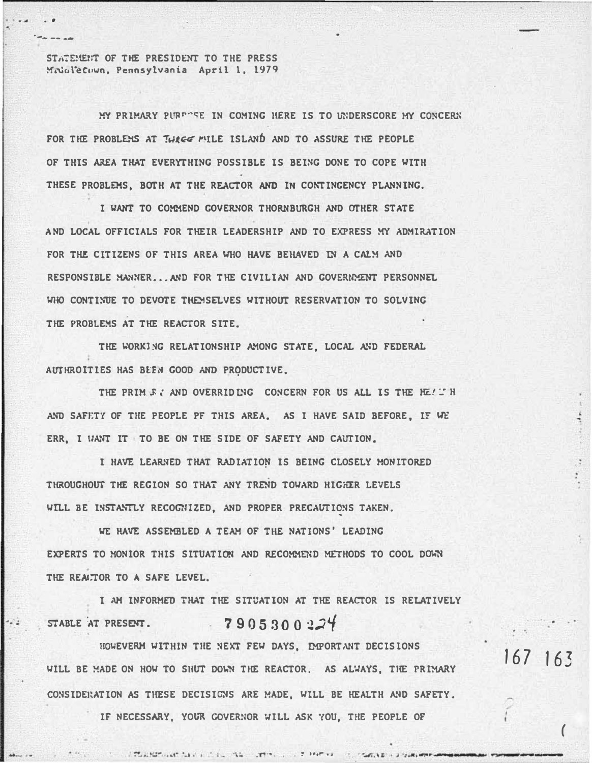STATEMENT OF THE PRESIDENT TO THE PRESS Mrualetuwn, Pennsylvania April 1, 1979

MY PRIMARY PURPHE IN COMING HERE IS TO UNDERSCORE MY CONCERN FOR THE PROBLEMS AT THREE MILE ISLAND AND TO ASSURE THE PEOPLE OF THIS AREA THAT EVERYTHING POSSIBLE IS BEING DONE TO COPE WITH THESE PROBLEMS, BOTH AT THE REACTOR AND IN CONTINGENCY PLANNING.

I WANT TO COMMEND GOVERNOR THORNBURGH AND OTHER STATE AND LOCAL OFFICIALS FOR THEIR LEADERSHIP AND TO EXPRESS MY ADMIRATION FOR THE CITIZENS OF THIS AREA WHO HAVE BEHAVED IN A CALY AND RESPONSIBLE MANNER... AND FOR THE CIVILIAN AND GOVERNMENT PERSONNEL WHO CONTINUE TO DEVOTE THEMSELVES WITHOUT RESERVATION TO SOLVING THE PROBLEMS AT THE REACTOR SITE.

THE WORKING RELATIONSHIP AMONG STATE, LOCAL AND FEDERAL AUTHROITIES HAS BEEN GOOD AND PRODUCTIVE.

THE PRIM E: AND OVERRIDING CONCERN FOR US ALL IS THE HEAT H AND SAFETY OF THE PEOPLE PF THIS AREA. AS I HAVE SAID BEFORE. IF WE ERR. I WANT IT TO BE ON THE SIDE OF SAFETY AND CAUTION.

I HAVE LEARNED THAT RADIATION IS BEING CLOSELY MONITORED THROUGHOUT THE REGION SO THAT ANY TREND TOWARD HIGHER LEVELS WILL BE INSTANTLY RECOGNIZED, AND PROPER PRECAUTIONS TAKEN.

WE HAVE ASSEMBLED A TEAM OF THE NATIONS' LEADING EXPERTS TO MONIOR THIS SITUATION AND RECOMMEND METHODS TO COOL DOWN THE REALTOR TO A SAFE LEVEL.

I AM INFORMED THAT THE SITUATION AT THE REACTOR IS RELATIVELY  $7905300224$ STABLE AT PRESENT.

HOWEVERM WITHIN THE NEXT FEW DAYS, IMPORTANT DECISIONS WILL BE MADE ON HOW TO SHUT DOWN THE REACTOR. AS ALWAYS, THE PRIMARY CONSIDERATION AS THESE DECISIONS ARE MADE. WILL BE HEALTH AND SAFETY.

CONSIGNATION CONTINUES.

IF NECESSARY, YOUR GOVERNOR WILL ASK YOU, THE PEOPLE OF

 $167, 163$